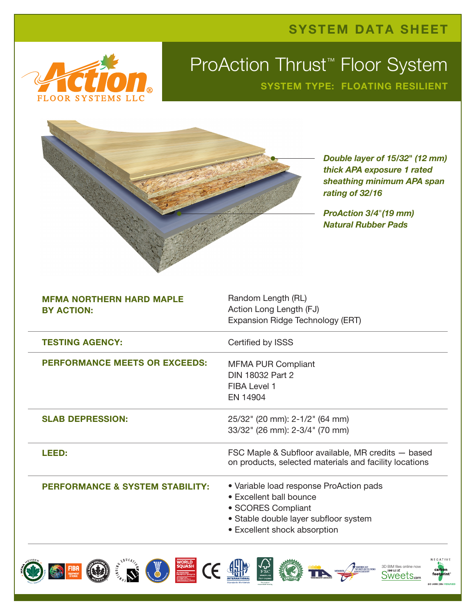



## ProAction Thrust<sup>™</sup> Floor System SYSTEM TYPE: FLOATING RESILIENT

|                                                      | Double layer of 15/32" (12 mm)<br>thick APA exposure 1 rated<br>sheathing minimum APA span<br>rating of 32/16<br><b>ProAction 3/4"(19 mm)</b><br><b>Natural Rubber Pads</b> |
|------------------------------------------------------|-----------------------------------------------------------------------------------------------------------------------------------------------------------------------------|
| <b>MFMA NORTHERN HARD MAPLE</b><br><b>BY ACTION:</b> | Random Length (RL)<br>Action Long Length (FJ)<br>Expansion Ridge Technology (ERT)                                                                                           |
| <b>TESTING AGENCY:</b>                               | Certified by ISSS                                                                                                                                                           |
| <b>PERFORMANCE MEETS OR EXCEEDS:</b>                 | <b>MFMA PUR Compliant</b><br>DIN 18032 Part 2<br>FIBA Level 1<br>EN 14904                                                                                                   |
| <b>SLAB DEPRESSION:</b>                              | 25/32" (20 mm): 2-1/2" (64 mm)<br>33/32" (26 mm): 2-3/4" (70 mm)                                                                                                            |
| LEED:                                                | FSC Maple & Subfloor available, MR credits - based<br>on products, selected materials and facility locations                                                                |
| <b>PERFORMANCE &amp; SYSTEM STABILITY:</b>           | • Variable load response ProAction pads<br>• Excellent ball bounce<br>• SCORES Compliant<br>· Stable double layer subfloor system<br>• Excellent shock absorption           |